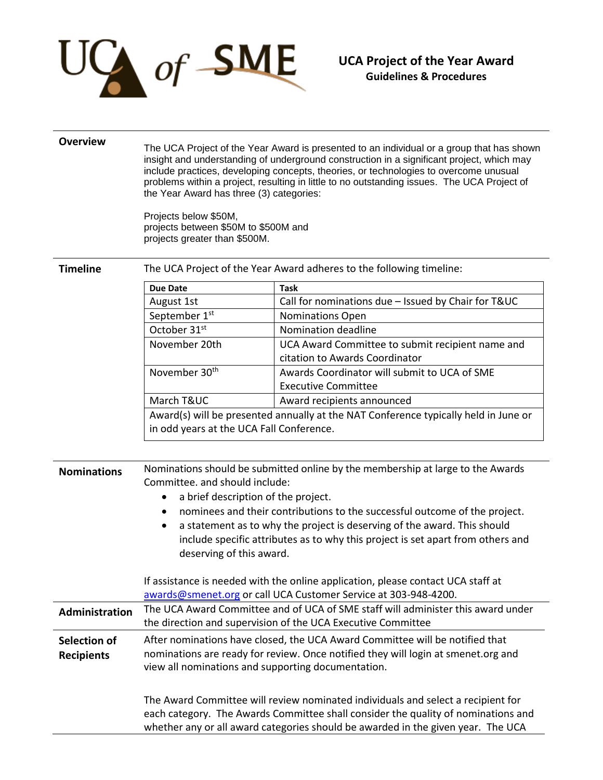

## **Overview** The UCA Project of the Year Award is presented to an individual or a group that has shown insight and understanding of underground construction in a significant project, which may include practices, developing concepts, theories, or technologies to overcome unusual problems within a project, resulting in little to no outstanding issues. The UCA Project of the Year Award has three (3) categories: Projects below \$50M, projects between \$50M to \$500M and projects greater than \$500M. **Timeline** The UCA Project of the Year Award adheres to the following timeline: **Due Date Task** August 1st **Call for nominations due – Issued by Chair for T&UC** September 1<sup>st</sup> **Nominations** Open October 31<sup>st</sup> **Nomination deadline** November 20th UCA Award Committee to submit recipient name and citation to Awards Coordinator November 30th Awards Coordinator will submit to UCA of SME Executive Committee March T&UC | Award recipients announced Award(s) will be presented annually at the NAT Conference typically held in June or in odd years at the UCA Fall Conference. **Nominations** Nominations should be submitted online by the membership at large to the Awards Committee. and should include: • a brief description of the project. nominees and their contributions to the successful outcome of the project. a statement as to why the project is deserving of the award. This should include specific attributes as to why this project is set apart from others and deserving of this award. If assistance is needed with the online application, please contact UCA staff at [awards@smenet.org](mailto:awards@smenet.org) or call UCA Customer Service at 303-948-4200. **Administration** The UCA Award Committee and of UCA of SME staff will administer this award under the direction and supervision of the UCA Executive Committee **Selection of Recipients** After nominations have closed, the UCA Award Committee will be notified that nominations are ready for review. Once notified they will login at smenet.org and view all nominations and supporting documentation. The Award Committee will review nominated individuals and select a recipient for each category. The Awards Committee shall consider the quality of nominations and whether any or all award categories should be awarded in the given year. The UCA